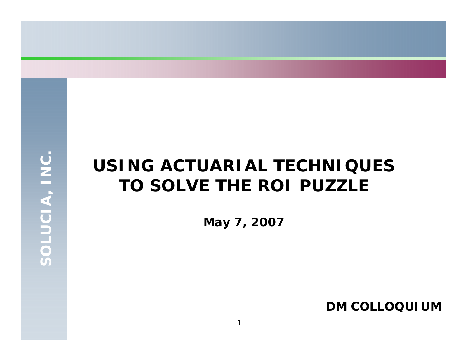# **USING ACTUARIAL TECHNIQUESTO SOLVE THE ROI PUZZLE**

**May 7, 2007**

**DM COLLOQUIUM**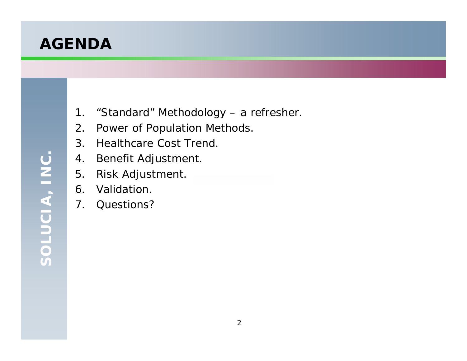## **AGENDA**

- 1. "Standard" Methodology a refresher.
- 2. Power of Population Methods.
- 3. Healthcare Cost Trend.
- 4. Benefit Adjustment.
- 5. Risk Adjustment.
- 6. Validation.
- 7. Questions?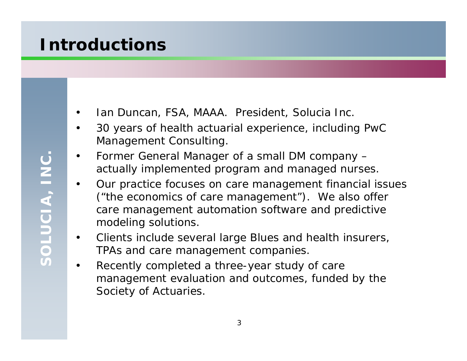## **Introductions**

- •Ian Duncan, FSA, MAAA. President, Solucia Inc.
- $\bullet$  30 years of health actuarial experience, including PwC Management Consulting.
- • Former General Manager of a small DM company – actually implemented program and managed nurses.
- $\bullet$  Our practice focuses on care management financial issues ("the economics of care management"). We also offer care management automation software and predictive modeling solutions.
- $\bullet$  Clients include several large Blues and health insurers, TPAs and care management companies.
- $\bullet$  Recently completed a three-year study of care management evaluation and outcomes, funded by the Society of Actuaries.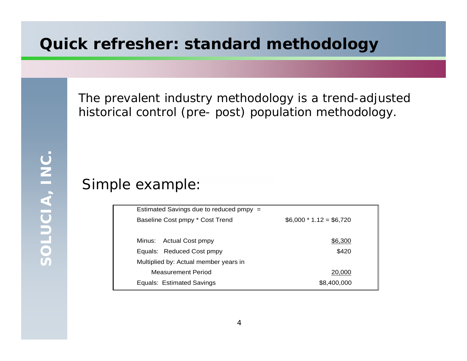#### **Quick refresher: standard methodology**

The prevalent industry methodology is a trend-adjusted historical control (pre- post) population methodology.

#### Simple example:

| Estimated Savings due to reduced pmpy = |                          |  |
|-----------------------------------------|--------------------------|--|
| Baseline Cost pmpy * Cost Trend         | $$6,000 * 1.12 = $6,720$ |  |
|                                         |                          |  |
| Minus: Actual Cost pmpy                 | \$6,300                  |  |
| Equals: Reduced Cost pmpy               | \$420                    |  |
| Multiplied by: Actual member years in   |                          |  |
| Measurement Period                      | 20,000                   |  |
| Equals: Estimated Savings               | \$8,400,000              |  |
|                                         |                          |  |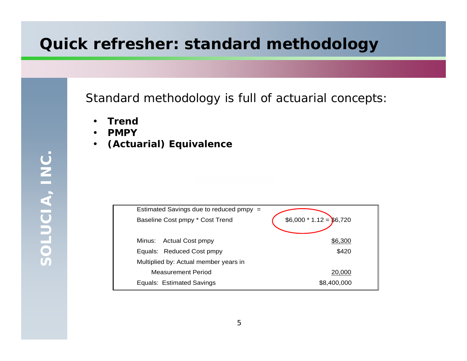## **Quick refresher: standard methodology**

Standard methodology is full of actuarial concepts:

- •**Trend**
- •**PMPY**
- $\bullet$ **(Actuarial) Equivalence**

| Estimated Savings due to reduced pmpy = |                          |
|-----------------------------------------|--------------------------|
| Baseline Cost pmpy * Cost Trend         | $$6,000 * 1.12 = $6,720$ |
| Actual Cost pmpy<br>Minus: .            | \$6,300                  |
| Equals: Reduced Cost pmpy               | \$420                    |
| Multiplied by: Actual member years in   |                          |
| <b>Measurement Period</b>               | 20,000                   |
| Equals: Estimated Savings               | \$8,400,000              |

SOLUCIA, INC. **SOLUCIA, INC.**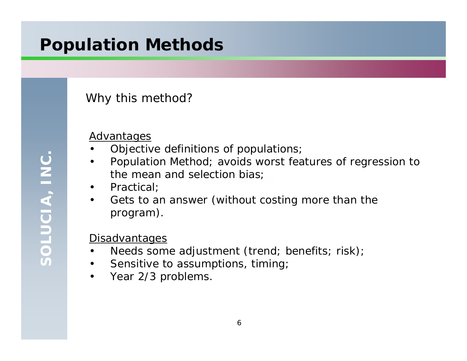# **Population Methods**

#### Why this method?

#### **Advantages**

•

- Objective definitions of populations;
- • Population Method; avoids worst features of regression to the mean and selection bias;
- $\bullet$ Practical;
- $\bullet$  Gets to an answer (without costing more than the program).

#### **Disadvantages**

- •Needs some adjustment (trend; benefits; risk);
- $\bullet$ Sensitive to assumptions, timing;
- •Year 2/3 problems.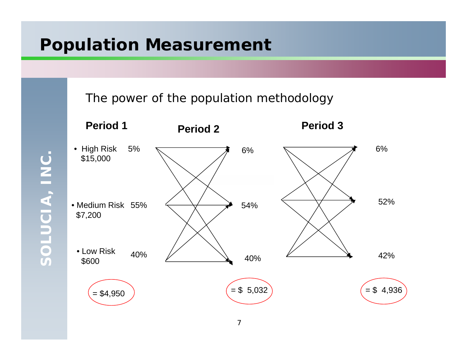## **Population Measurement**

The power of the population methodology



SOLUCIA, INC. **SOLUCIA, INC.**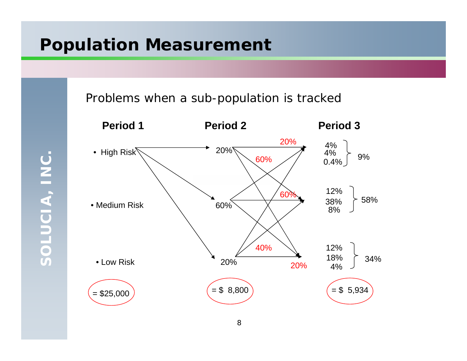## **Population Measurement**

Problems when a sub-population is tracked



SOLUCIA, INC. **SOLUCIA, INC.**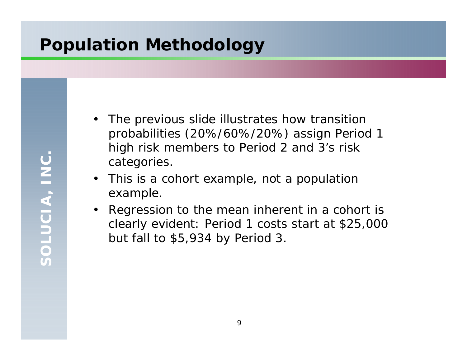# **Population Methodology**

- $\bullet$  The previous slide illustrates how transition probabilities (20%/60%/20%) assign Period 1 high risk members to Period 2 and 3's risk categories.
- • This is a cohort example, not a population example.
- Regression to the mean inherent in a cohort is clearly evident: Period 1 costs start at \$25,000 but fall to \$5,934 by Period 3.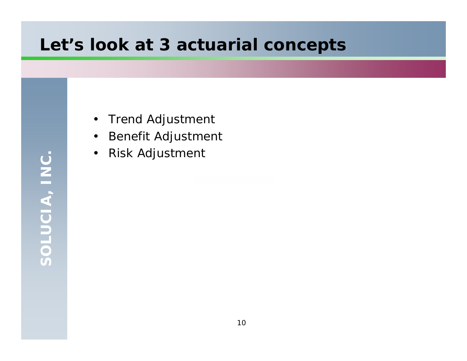## **Let's look at 3 actuarial concepts**

- $\bullet$ Trend Adjustment
- $\bullet$ Benefit Adjustment
- $\bullet$ Risk Adjustment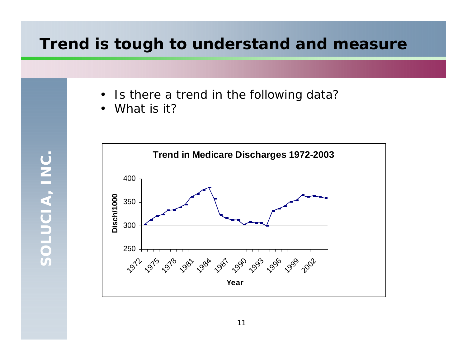#### **Trend is tough to understand and measure**

- $\bullet$ Is there a trend in the following data?
- $\bullet$ What is it?

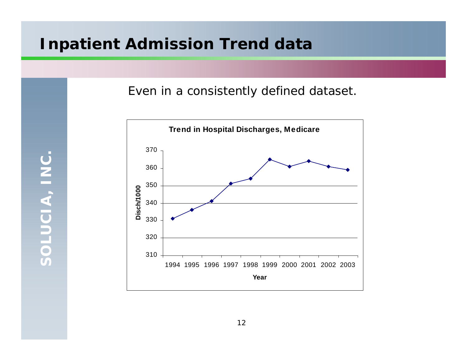#### **Inpatient Admission Trend data**

Even in a consistently defined dataset.



SOLUCIA, INC. **SOLUCIA, INC.**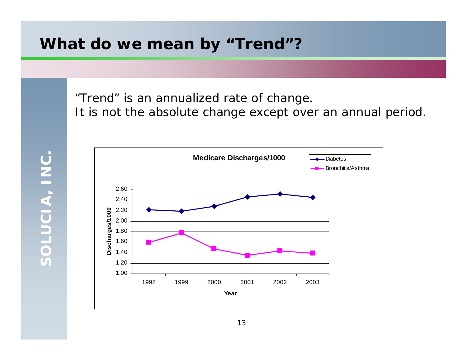#### **What do we mean by "Trend"?**

"Trend" is an annualized rate of change.

It is not the absolute change except over an annual period.

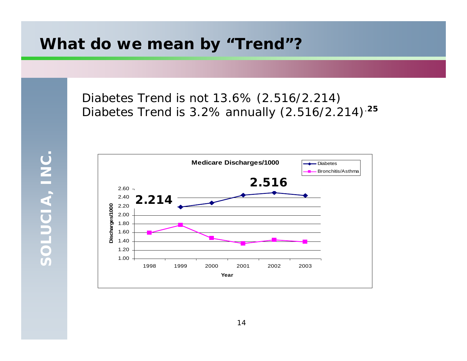#### **What do we mean by "Trend"?**

Diabetes Trend *is not* 13.6% (2.516/2.214) Diabetes Trend *is* 3.2% annually (2.516/2.214).**<sup>25</sup>**

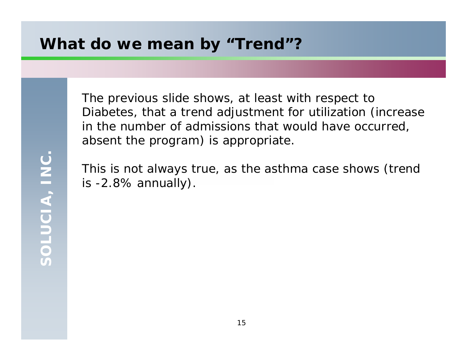#### **What do we mean by "Trend"?**

The previous slide shows, at least with respect to Diabetes, that a trend adjustment for utilization (increase in the number of admissions that would have occurred, absent the program) is appropriate.

This is not always true, as the asthma case shows (trend is -2.8% annually).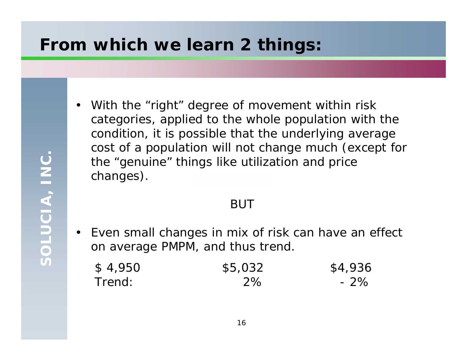## **From which we learn 2 things:**

- SOLUCIA, INC. **SOLUCIA, INC.**
- $\bullet$  With the "right" degree of movement within risk categories, applied to the whole population with the condition, it is possible that the underlying average cost of a population will not change much (except for the "genuine" things like utilization and price changes).

#### BUT

 $\bullet$  . Even small changes in mix of risk can have an effect on average PMPM, and thus trend.

| \$4,950 | \$5,032   | \$4,936 |
|---------|-----------|---------|
| Trend:  | <b>2%</b> | $-2\%$  |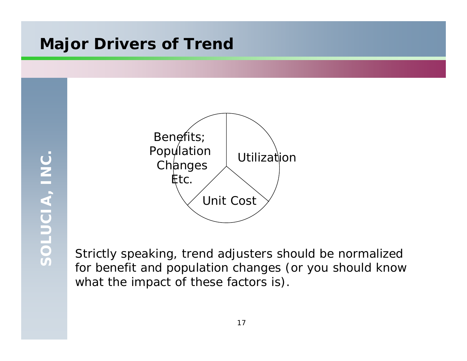### **Major Drivers of Trend**



Strictly speaking, trend adjusters should be normalized for benefit and population changes (or you should know what the impact of these factors is).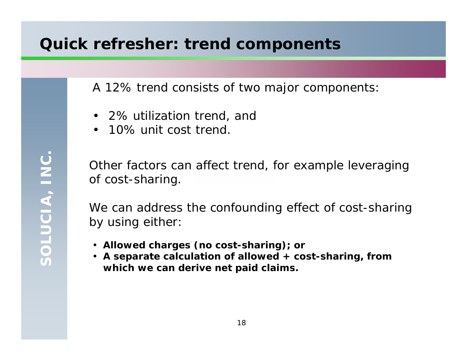#### **Quick refresher: trend components**

A 12% trend consists of two major components:

- 2% utilization trend, and
- 10% unit cost trend.

Other factors can affect trend, for example leveraging of cost-sharing.

We can address the confounding effect of cost-sharing by using either:

- **Allowed charges (no cost-sharing); or**
- **A separate calculation of allowed + cost-sharing, from which we can derive net paid claims.**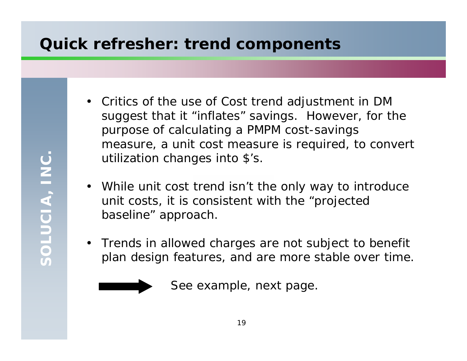### **Quick refresher: trend components**

- Critics of the use of Cost trend adjustment in DM suggest that it "inflates" savings. However, for the purpose of calculating a PMPM cost-savings measure, a unit cost measure is required, to convert utilization changes into \$'s.
- While unit cost trend isn't the only way to introduce unit costs, it is consistent with the "projected baseline" approach.
- Trends in allowed charges are not subject to benefit plan design features, and are more stable over time.



See example, next page.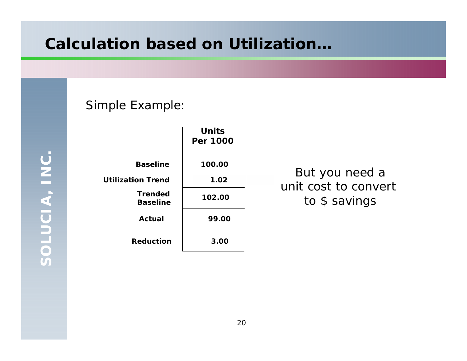#### **Calculation based on Utilization…**

SOLUCIA, INC. **SOLUCIA, INC.**

|                                   | <b>Units</b><br>Per 1000 |
|-----------------------------------|--------------------------|
| <b>Baseline</b>                   | 100.00                   |
| <b>Utilization Trend</b>          | 1.02                     |
| <b>Trended</b><br><b>Baseline</b> | 102.00                   |
| Actual                            | 99.00                    |
| <b>Reduction</b>                  | 3.00                     |

Simple Example:

But you need a unit cost to convert to \$ savings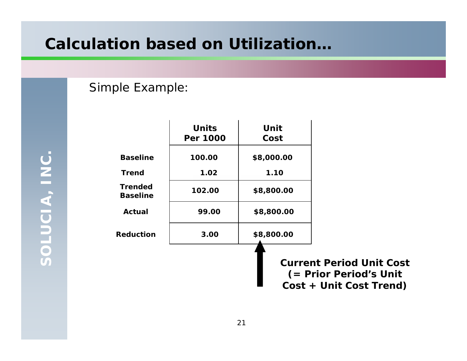### **Calculation based on Utilization…**

#### Simple Example:

SOLUCIA, INC. **SOLUCIA, INC.**

|                                   | <b>Units</b><br>Per 1000 | Unit<br>Cost |                                                                                      |
|-----------------------------------|--------------------------|--------------|--------------------------------------------------------------------------------------|
| <b>Baseline</b>                   | 100.00                   | \$8,000.00   |                                                                                      |
| <b>Trend</b>                      | 1.02                     | 1.10         |                                                                                      |
| <b>Trended</b><br><b>Baseline</b> | 102.00                   | \$8,800.00   |                                                                                      |
| Actual                            | 99.00                    | \$8,800.00   |                                                                                      |
| Reduction                         | 3.00                     | \$8,800.00   |                                                                                      |
|                                   |                          |              | <b>Current Period Unit Cost</b><br>(= Prior Period's Unit<br>Cost + Unit Cost Trend) |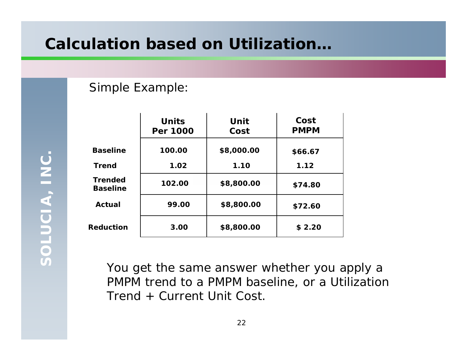### **Calculation based on Utilization…**

#### Simple Example:

|                                   | <b>Units</b><br>Per 1000 | Unit<br>Cost | Cost<br><b>PMPM</b> |
|-----------------------------------|--------------------------|--------------|---------------------|
| <b>Baseline</b>                   | 100.00                   | \$8,000.00   | \$66.67             |
| <b>Trend</b>                      | 1.02                     | 1.10         | 1.12                |
| <b>Trended</b><br><b>Baseline</b> | 102.00                   | \$8,800.00   | \$74.80             |
| Actual                            | 99.00                    | \$8,800.00   | \$72.60             |
| <b>Reduction</b>                  | 3.00                     | \$8,800.00   | \$2.20              |

You get the same answer whether you apply a PMPM trend to a PMPM baseline, or a Utilization Trend + Current Unit Cost.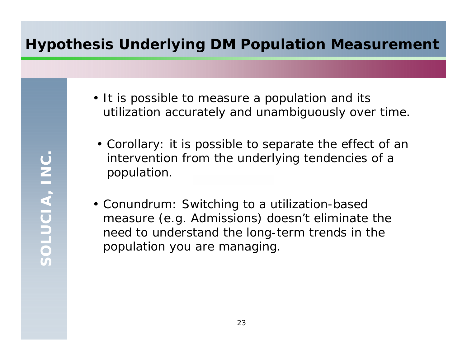#### **Hypothesis Underlying DM Population Measurement**

- It is possible to measure a population and its utilization accurately and unambiguously over time.
	- Corollary: it is possible to separate the effect of an *intervention* from the underlying tendencies of a population.
- Conundrum: Switching to a utilization-based measure (e.g. Admissions) doesn't eliminate the need to understand the long-term trends in the population you are managing.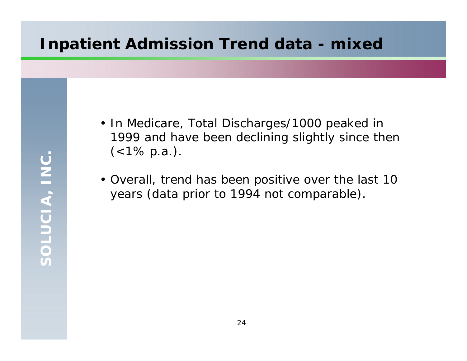### **Inpatient Admission Trend data - mixed**

- In Medicare, Total Discharges/1000 peaked in 1999 and have been declining slightly since then  $(<1\% \text{ p.a.}).$
- Overall, trend has been positive over the last 10 years (data prior to 1994 not comparable).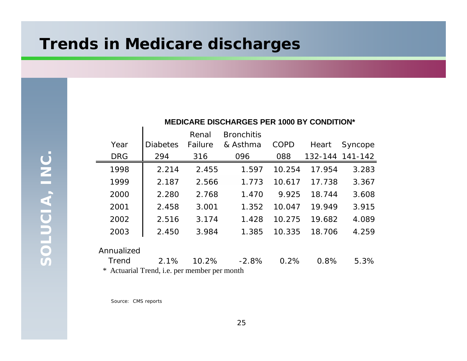#### **Trends in Medicare discharges**

SOLUCIA, INC. **SOLUCIA, INC.**

|            |                 | Renal   | <b>Bronchitis</b> |        |        |                 |
|------------|-----------------|---------|-------------------|--------|--------|-----------------|
| Year       | <b>Diabetes</b> | Failure | & Asthma          | COPD   | Heart  | Syncope         |
| <b>DRG</b> | 294             | 316     | 096               | 088    |        | 132-144 141-142 |
| 1998       | 2.214           | 2.455   | 1.597             | 10.254 | 17.954 | 3.283           |
| 1999       | 2.187           | 2.566   | 1.773             | 10.617 | 17.738 | 3.367           |
| 2000       | 2.280           | 2.768   | 1.470             | 9.925  | 18.744 | 3.608           |
| 2001       | 2.458           | 3.001   | 1.352             | 10.047 | 19.949 | 3.915           |
| 2002       | 2.516           | 3.174   | 1.428             | 10.275 | 19.682 | 4.089           |
| 2003       | 2.450           | 3.984   | 1.385             | 10.335 | 18.706 | 4.259           |
| Annualized |                 |         |                   |        |        |                 |

**MEDICARE DISCHARGES PER 1000 BY CONDITION\***

**Trend**  2.1% 10.2% -2.8% 0.2% 0.8% 5.3%\* Actuarial Trend, i.e. per member per month

Source: CMS reports

 $\mathbf{I}$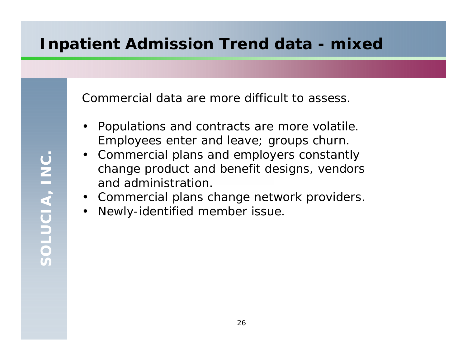## **Inpatient Admission Trend data - mixed**

Commercial data are more difficult to assess.

- • Populations and contracts are more volatile. Employees enter and leave; groups churn.
- • Commercial plans and employers constantly change product and benefit designs, vendors and administration.
- •Commercial plans change network providers.
- $\bullet$ Newly-identified member issue.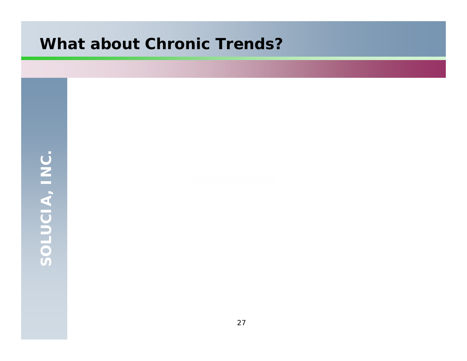## **What about Chronic Trends?**

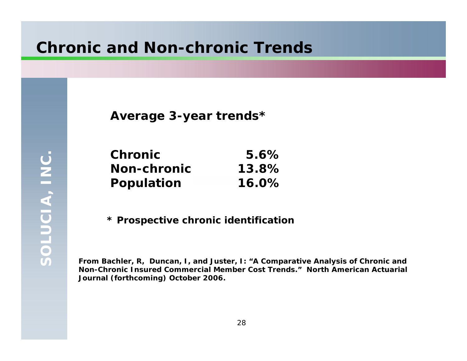#### **Chronic and Non-chronic Trends**

**Average 3-year trends\***

| <b>Chronic</b>     | 5.6%     |
|--------------------|----------|
| <b>Non-chronic</b> | 13.8%    |
| <b>Population</b>  | $16.0\%$ |

**\* Prospective chronic identification**

**From Bachler, R, Duncan, I, and Juster, I: "***A Comparative Analysis of Chronic and Non-Chronic Insured Commercial Member Cost Trends."* **North American Actuarial Journal (forthcoming) October 2006.**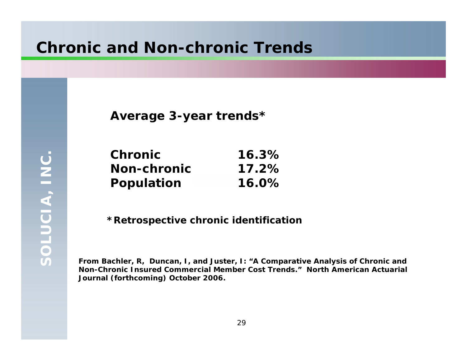#### **Chronic and Non-chronic Trends**

**Average 3-year trends\***

| <b>Chronic</b>     | 16.3%    |
|--------------------|----------|
| <b>Non-chronic</b> | $17.2\%$ |
| Population         | $16.0\%$ |

**\*Retrospective chronic identification**

**From Bachler, R, Duncan, I, and Juster, I: "***A Comparative Analysis of Chronic and Non-Chronic Insured Commercial Member Cost Trends."* **North American Actuarial Journal (forthcoming) October 2006.**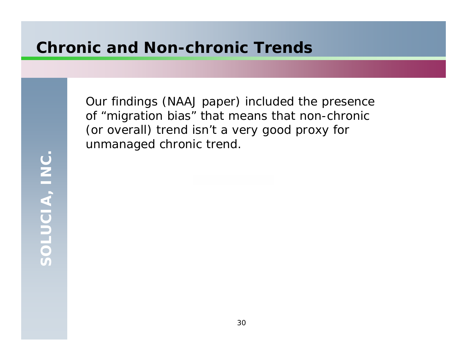### **Chronic and Non-chronic Trends**

Our findings (NAAJ paper) included the presence of "migration bias" that means that non-chronic (or overall) trend isn't a very good proxy for unmanaged chronic trend.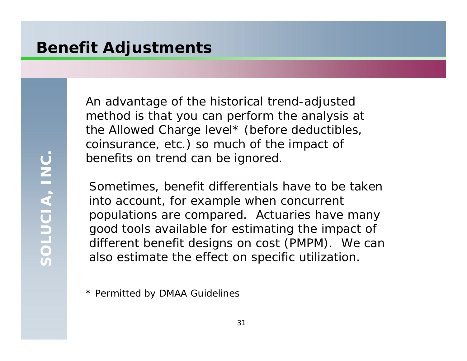## **Benefit Adjustments**

SOLUCIA, INC. **SOLUCIA, INC.**

An advantage of the historical trend-adjusted method is that you can perform the analysis at the Allowed Charge level\* (before deductibles, coinsurance, etc.) so much of the impact of benefits on trend can be ignored.

Sometimes, benefit differentials have to be taken into account, for example when concurrent populations are compared. Actuaries have many good tools available for estimating the impact of different benefit designs on cost (PMPM). We can also estimate the effect on specific utilization.

\* Permitted by DMAA Guidelines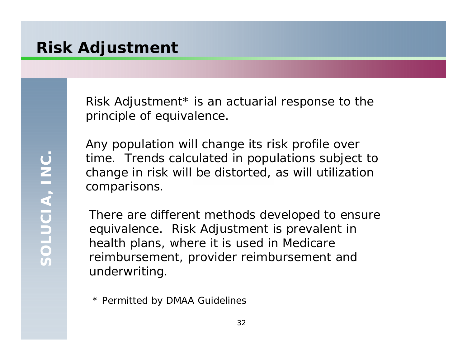#### **Risk Adjustment**

Risk Adjustment\* is an actuarial response to the principle of equivalence.

Any population will change its risk profile over time. Trends calculated in populations subject to change in risk will be distorted, as will utilization comparisons.

There are different methods developed to ensure equivalence. Risk Adjustment is prevalent in health plans, where it is used in Medicare reimbursement, provider reimbursement and underwriting.

\* Permitted by DMAA Guidelines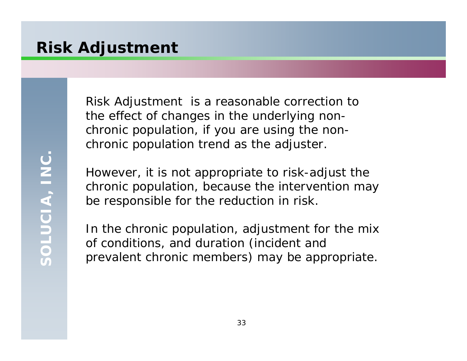## **Risk Adjustment**

SOLUCIA, INC. **SOLUCIA, INC.**

Risk Adjustment is a reasonable correction to the effect of changes in the underlying *nonchronic* population, if you are using the nonchronic population trend as the adjuster.

However, it is not appropriate to risk-adjust the chronic population, because the intervention may be responsible for the reduction in risk.

In the chronic population, adjustment for the mix of conditions, and duration (incident and prevalent chronic members) may be appropriate.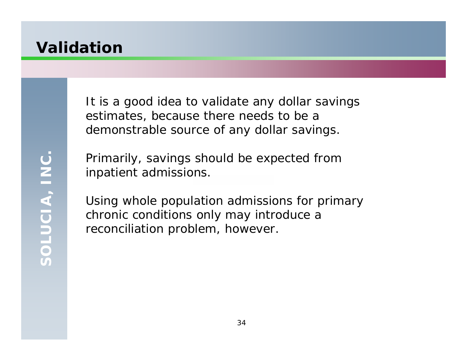#### **Validation**

It is a good idea to validate any dollar savings estimates, because there needs to be a demonstrable source of any dollar savings.

SOLUCIA, INC. **SOLUCIA, INC.**

Primarily, savings should be expected from inpatient admissions.

Using whole population admissions for primary chronic conditions only may introduce a reconciliation problem, however.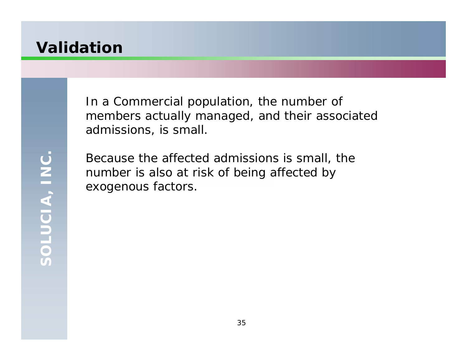#### **Validation**

In a Commercial population, the number of members actually managed, and their associated admissions, is small.

Because the affected admissions is small, the number is also at risk of being affected by exogenous factors.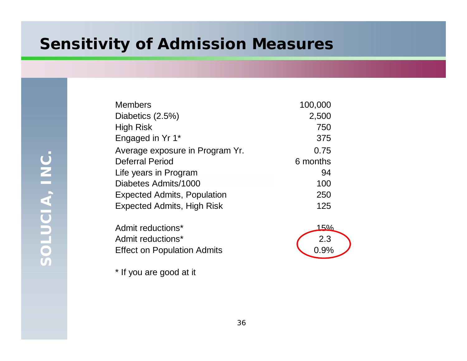### **Sensitivity of Admission Measures**

| <b>Members</b>                     | 100,000  |
|------------------------------------|----------|
| Diabetics (2.5%)                   | 2,500    |
| <b>High Risk</b>                   | 750      |
| Engaged in Yr 1*                   | 375      |
| Average exposure in Program Yr.    | 0.75     |
| <b>Deferral Period</b>             | 6 months |
| Life years in Program              | 94       |
| Diabetes Admits/1000               | 100      |
| <b>Expected Admits, Population</b> | 250      |
| <b>Expected Admits, High Risk</b>  | 125      |

Admit reductions\* 15% Admit reductions\* Effect on Population Admits 0.9%



\* If you are good at it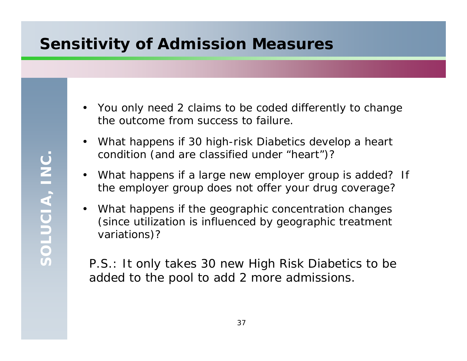## **Sensitivity of Admission Measures**

- You only need 2 claims to be coded differently to change the outcome from success to failure.
- $\bullet$  What happens if 30 high-risk Diabetics develop a heart condition (and are classified under "heart")?
- $\bullet$  What happens if a large new employer group is added? If the employer group does not offer your drug coverage?
- $\bullet$  What happens if the geographic concentration changes (since utilization is influenced by geographic treatment variations)?

P.S.: It only takes 30 new High Risk Diabetics to be added to the pool to add 2 more admissions.